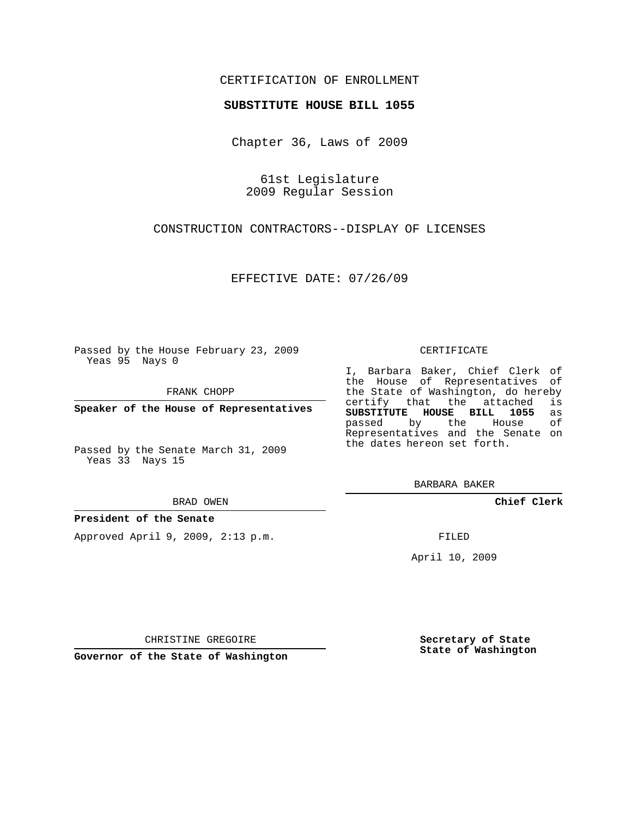# CERTIFICATION OF ENROLLMENT

## **SUBSTITUTE HOUSE BILL 1055**

Chapter 36, Laws of 2009

61st Legislature 2009 Regular Session

CONSTRUCTION CONTRACTORS--DISPLAY OF LICENSES

EFFECTIVE DATE: 07/26/09

Passed by the House February 23, 2009 Yeas 95 Nays 0

FRANK CHOPP

**Speaker of the House of Representatives**

Passed by the Senate March 31, 2009 Yeas 33 Nays 15

BRAD OWEN

## **President of the Senate**

Approved April 9, 2009, 2:13 p.m.

#### CERTIFICATE

I, Barbara Baker, Chief Clerk of the House of Representatives of the State of Washington, do hereby<br>certify that the attached is certify that the attached **SUBSTITUTE HOUSE BILL 1055** as passed by the House of Representatives and the Senate on the dates hereon set forth.

BARBARA BAKER

**Chief Clerk**

FILED

April 10, 2009

CHRISTINE GREGOIRE

**Governor of the State of Washington**

**Secretary of State State of Washington**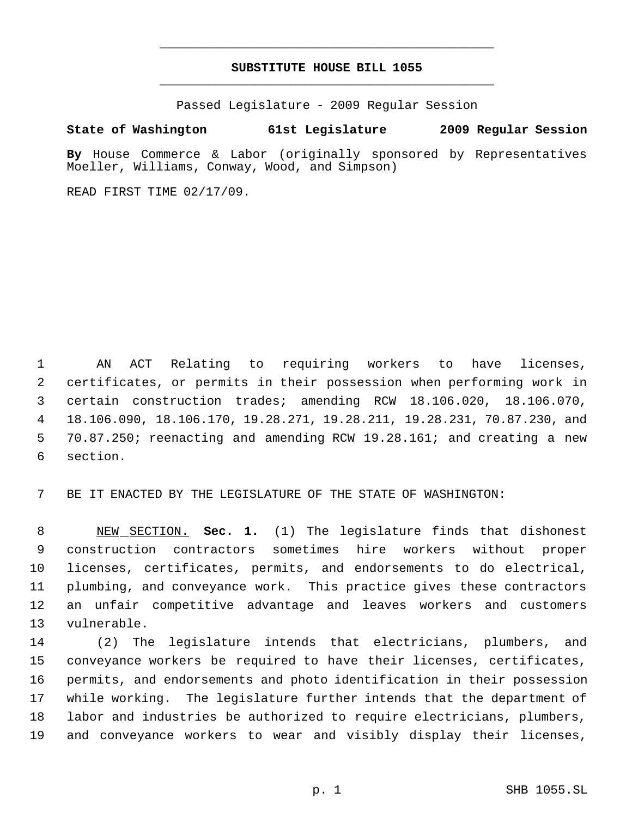# **SUBSTITUTE HOUSE BILL 1055** \_\_\_\_\_\_\_\_\_\_\_\_\_\_\_\_\_\_\_\_\_\_\_\_\_\_\_\_\_\_\_\_\_\_\_\_\_\_\_\_\_\_\_\_\_

\_\_\_\_\_\_\_\_\_\_\_\_\_\_\_\_\_\_\_\_\_\_\_\_\_\_\_\_\_\_\_\_\_\_\_\_\_\_\_\_\_\_\_\_\_

Passed Legislature - 2009 Regular Session

# **State of Washington 61st Legislature 2009 Regular Session**

**By** House Commerce & Labor (originally sponsored by Representatives Moeller, Williams, Conway, Wood, and Simpson)

READ FIRST TIME 02/17/09.

 AN ACT Relating to requiring workers to have licenses, certificates, or permits in their possession when performing work in certain construction trades; amending RCW 18.106.020, 18.106.070, 18.106.090, 18.106.170, 19.28.271, 19.28.211, 19.28.231, 70.87.230, and 70.87.250; reenacting and amending RCW 19.28.161; and creating a new section.

BE IT ENACTED BY THE LEGISLATURE OF THE STATE OF WASHINGTON:

 NEW SECTION. **Sec. 1.** (1) The legislature finds that dishonest construction contractors sometimes hire workers without proper licenses, certificates, permits, and endorsements to do electrical, plumbing, and conveyance work. This practice gives these contractors an unfair competitive advantage and leaves workers and customers vulnerable.

 (2) The legislature intends that electricians, plumbers, and conveyance workers be required to have their licenses, certificates, permits, and endorsements and photo identification in their possession while working. The legislature further intends that the department of labor and industries be authorized to require electricians, plumbers, and conveyance workers to wear and visibly display their licenses,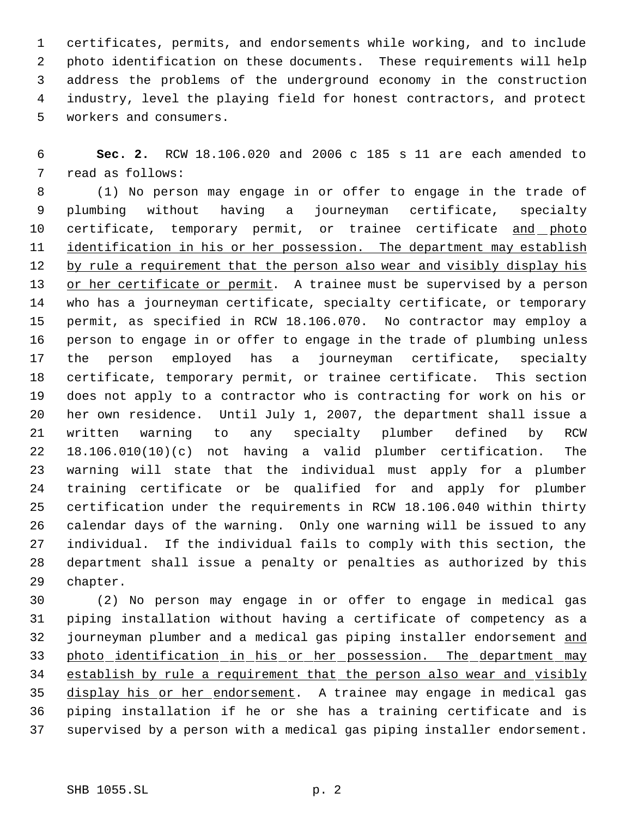certificates, permits, and endorsements while working, and to include photo identification on these documents. These requirements will help address the problems of the underground economy in the construction industry, level the playing field for honest contractors, and protect workers and consumers.

 **Sec. 2.** RCW 18.106.020 and 2006 c 185 s 11 are each amended to read as follows:

 (1) No person may engage in or offer to engage in the trade of plumbing without having a journeyman certificate, specialty 10 certificate, temporary permit, or trainee certificate and photo 11 identification in his or her possession. The department may establish 12 by rule a requirement that the person also wear and visibly display his or her certificate or permit. A trainee must be supervised by a person who has a journeyman certificate, specialty certificate, or temporary permit, as specified in RCW 18.106.070. No contractor may employ a person to engage in or offer to engage in the trade of plumbing unless the person employed has a journeyman certificate, specialty certificate, temporary permit, or trainee certificate. This section does not apply to a contractor who is contracting for work on his or her own residence. Until July 1, 2007, the department shall issue a written warning to any specialty plumber defined by RCW 18.106.010(10)(c) not having a valid plumber certification. The warning will state that the individual must apply for a plumber training certificate or be qualified for and apply for plumber certification under the requirements in RCW 18.106.040 within thirty calendar days of the warning. Only one warning will be issued to any individual. If the individual fails to comply with this section, the department shall issue a penalty or penalties as authorized by this chapter.

 (2) No person may engage in or offer to engage in medical gas piping installation without having a certificate of competency as a 32 journeyman plumber and a medical gas piping installer endorsement and 33 photo identification in his or her possession. The department may establish by rule a requirement that the person also wear and visibly display his or her endorsement. A trainee may engage in medical gas piping installation if he or she has a training certificate and is supervised by a person with a medical gas piping installer endorsement.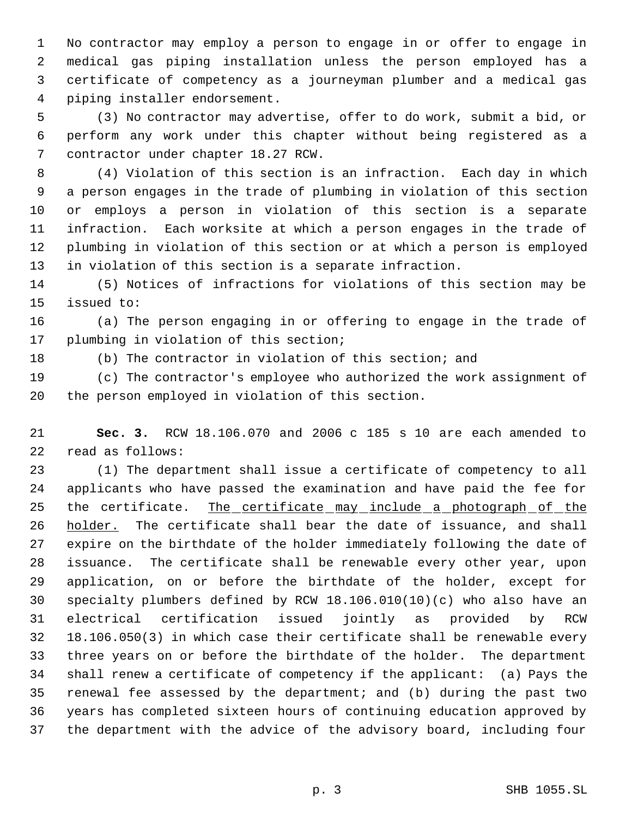No contractor may employ a person to engage in or offer to engage in medical gas piping installation unless the person employed has a certificate of competency as a journeyman plumber and a medical gas piping installer endorsement.

 (3) No contractor may advertise, offer to do work, submit a bid, or perform any work under this chapter without being registered as a contractor under chapter 18.27 RCW.

 (4) Violation of this section is an infraction. Each day in which a person engages in the trade of plumbing in violation of this section or employs a person in violation of this section is a separate infraction. Each worksite at which a person engages in the trade of plumbing in violation of this section or at which a person is employed in violation of this section is a separate infraction.

 (5) Notices of infractions for violations of this section may be issued to:

 (a) The person engaging in or offering to engage in the trade of plumbing in violation of this section;

(b) The contractor in violation of this section; and

 (c) The contractor's employee who authorized the work assignment of the person employed in violation of this section.

 **Sec. 3.** RCW 18.106.070 and 2006 c 185 s 10 are each amended to read as follows:

 (1) The department shall issue a certificate of competency to all applicants who have passed the examination and have paid the fee for 25 the certificate. The certificate may include a photograph of the 26 holder. The certificate shall bear the date of issuance, and shall expire on the birthdate of the holder immediately following the date of issuance. The certificate shall be renewable every other year, upon application, on or before the birthdate of the holder, except for specialty plumbers defined by RCW 18.106.010(10)(c) who also have an electrical certification issued jointly as provided by RCW 18.106.050(3) in which case their certificate shall be renewable every three years on or before the birthdate of the holder. The department shall renew a certificate of competency if the applicant: (a) Pays the renewal fee assessed by the department; and (b) during the past two years has completed sixteen hours of continuing education approved by the department with the advice of the advisory board, including four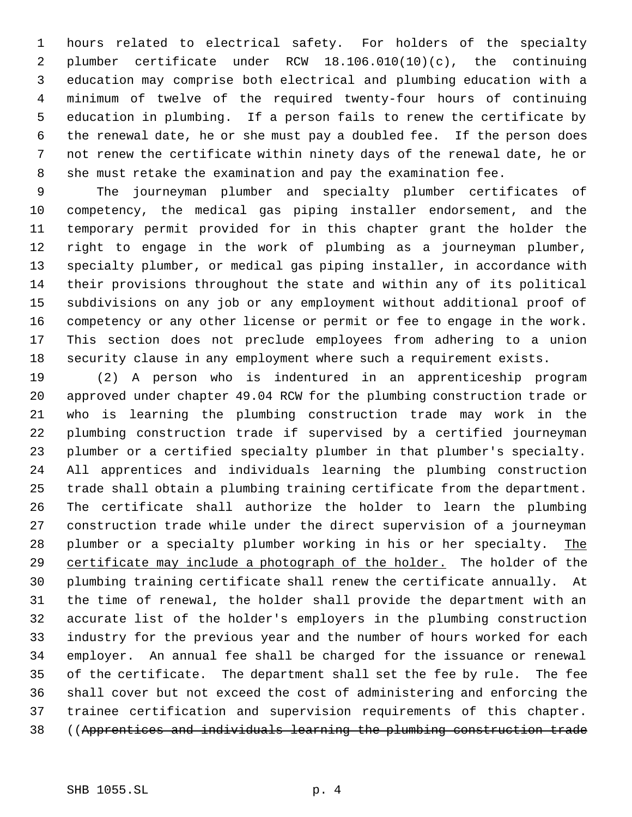hours related to electrical safety. For holders of the specialty plumber certificate under RCW 18.106.010(10)(c), the continuing education may comprise both electrical and plumbing education with a minimum of twelve of the required twenty-four hours of continuing education in plumbing. If a person fails to renew the certificate by the renewal date, he or she must pay a doubled fee. If the person does not renew the certificate within ninety days of the renewal date, he or she must retake the examination and pay the examination fee.

 The journeyman plumber and specialty plumber certificates of competency, the medical gas piping installer endorsement, and the temporary permit provided for in this chapter grant the holder the right to engage in the work of plumbing as a journeyman plumber, specialty plumber, or medical gas piping installer, in accordance with their provisions throughout the state and within any of its political subdivisions on any job or any employment without additional proof of competency or any other license or permit or fee to engage in the work. This section does not preclude employees from adhering to a union security clause in any employment where such a requirement exists.

 (2) A person who is indentured in an apprenticeship program approved under chapter 49.04 RCW for the plumbing construction trade or who is learning the plumbing construction trade may work in the plumbing construction trade if supervised by a certified journeyman plumber or a certified specialty plumber in that plumber's specialty. All apprentices and individuals learning the plumbing construction trade shall obtain a plumbing training certificate from the department. The certificate shall authorize the holder to learn the plumbing construction trade while under the direct supervision of a journeyman 28 plumber or a specialty plumber working in his or her specialty. The 29 certificate may include a photograph of the holder. The holder of the plumbing training certificate shall renew the certificate annually. At the time of renewal, the holder shall provide the department with an accurate list of the holder's employers in the plumbing construction industry for the previous year and the number of hours worked for each employer. An annual fee shall be charged for the issuance or renewal of the certificate. The department shall set the fee by rule. The fee shall cover but not exceed the cost of administering and enforcing the trainee certification and supervision requirements of this chapter. ((Apprentices and individuals learning the plumbing construction trade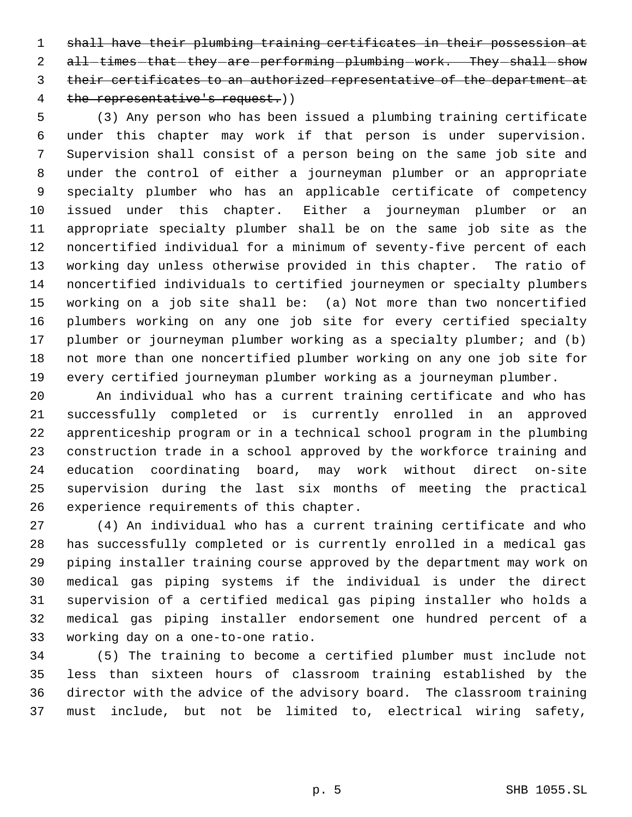shall have their plumbing training certificates in their possession at 2 all-times that they are performing plumbing work. They shall show their certificates to an authorized representative of the department at 4 the representative's request.))

 (3) Any person who has been issued a plumbing training certificate under this chapter may work if that person is under supervision. Supervision shall consist of a person being on the same job site and under the control of either a journeyman plumber or an appropriate specialty plumber who has an applicable certificate of competency issued under this chapter. Either a journeyman plumber or an appropriate specialty plumber shall be on the same job site as the noncertified individual for a minimum of seventy-five percent of each working day unless otherwise provided in this chapter. The ratio of noncertified individuals to certified journeymen or specialty plumbers working on a job site shall be: (a) Not more than two noncertified plumbers working on any one job site for every certified specialty 17 plumber or journeyman plumber working as a specialty plumber; and (b) not more than one noncertified plumber working on any one job site for every certified journeyman plumber working as a journeyman plumber.

 An individual who has a current training certificate and who has successfully completed or is currently enrolled in an approved apprenticeship program or in a technical school program in the plumbing construction trade in a school approved by the workforce training and education coordinating board, may work without direct on-site supervision during the last six months of meeting the practical experience requirements of this chapter.

 (4) An individual who has a current training certificate and who has successfully completed or is currently enrolled in a medical gas piping installer training course approved by the department may work on medical gas piping systems if the individual is under the direct supervision of a certified medical gas piping installer who holds a medical gas piping installer endorsement one hundred percent of a working day on a one-to-one ratio.

 (5) The training to become a certified plumber must include not less than sixteen hours of classroom training established by the director with the advice of the advisory board. The classroom training must include, but not be limited to, electrical wiring safety,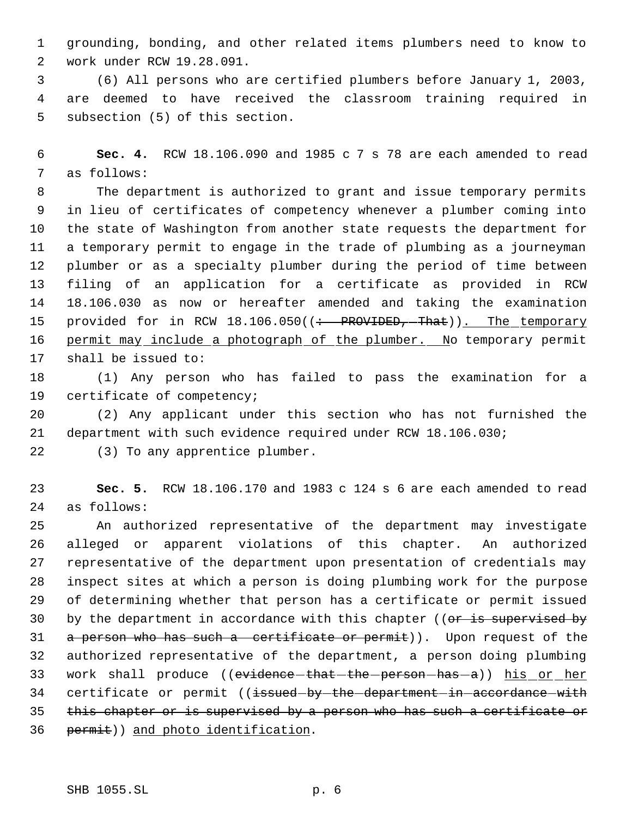grounding, bonding, and other related items plumbers need to know to work under RCW 19.28.091.

 (6) All persons who are certified plumbers before January 1, 2003, are deemed to have received the classroom training required in subsection (5) of this section.

 **Sec. 4.** RCW 18.106.090 and 1985 c 7 s 78 are each amended to read as follows:

 The department is authorized to grant and issue temporary permits in lieu of certificates of competency whenever a plumber coming into the state of Washington from another state requests the department for a temporary permit to engage in the trade of plumbing as a journeyman plumber or as a specialty plumber during the period of time between filing of an application for a certificate as provided in RCW 18.106.030 as now or hereafter amended and taking the examination 15 provided for in RCW 18.106.050((: PROVIDED, That)). The temporary 16 permit may include a photograph of the plumber. No temporary permit shall be issued to:

 (1) Any person who has failed to pass the examination for a certificate of competency;

 (2) Any applicant under this section who has not furnished the department with such evidence required under RCW 18.106.030;

(3) To any apprentice plumber.

 **Sec. 5.** RCW 18.106.170 and 1983 c 124 s 6 are each amended to read as follows:

 An authorized representative of the department may investigate alleged or apparent violations of this chapter. An authorized representative of the department upon presentation of credentials may inspect sites at which a person is doing plumbing work for the purpose of determining whether that person has a certificate or permit issued 30 by the department in accordance with this chapter (( $or$  is supervised by 31 a person who has such a certificate or permit)). Upon request of the authorized representative of the department, a person doing plumbing 33 work shall produce ((evidence-that-the-person-has-a)) his or her 34 certificate or permit ((issued-by-the-department-in-accordance-with this chapter or is supervised by a person who has such a certificate or 36 permit)) and photo identification.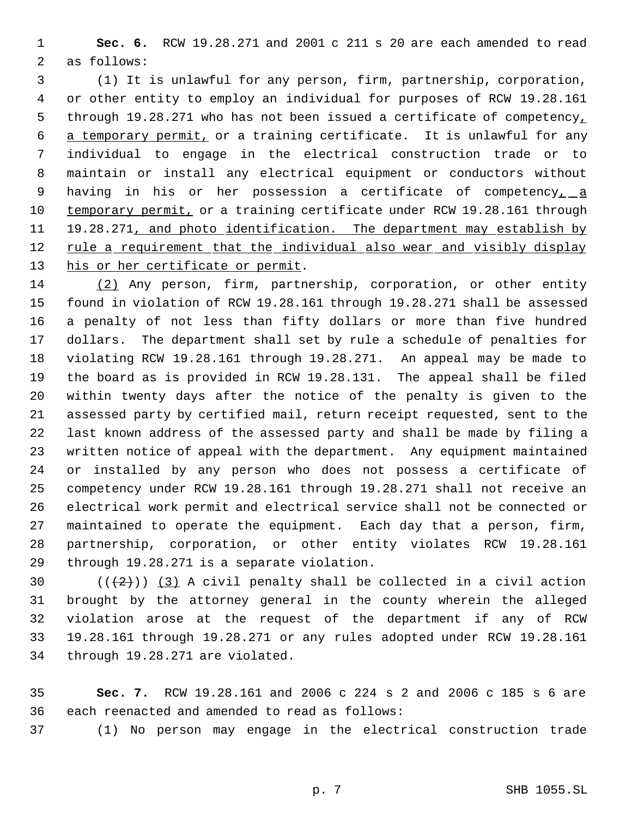**Sec. 6.** RCW 19.28.271 and 2001 c 211 s 20 are each amended to read as follows:

 (1) It is unlawful for any person, firm, partnership, corporation, or other entity to employ an individual for purposes of RCW 19.28.161 5 through 19.28.271 who has not been issued a certificate of competency, a temporary permit, or a training certificate. It is unlawful for any individual to engage in the electrical construction trade or to maintain or install any electrical equipment or conductors without 9 having in his or her possession a certificate of competency<sub>1</sub> a 10 temporary permit, or a training certificate under RCW 19.28.161 through 11 19.28.271, and photo identification. The department may establish by 12 rule a requirement that the individual also wear and visibly display 13 his or her certificate or permit.

 (2) Any person, firm, partnership, corporation, or other entity found in violation of RCW 19.28.161 through 19.28.271 shall be assessed a penalty of not less than fifty dollars or more than five hundred dollars. The department shall set by rule a schedule of penalties for violating RCW 19.28.161 through 19.28.271. An appeal may be made to the board as is provided in RCW 19.28.131. The appeal shall be filed within twenty days after the notice of the penalty is given to the assessed party by certified mail, return receipt requested, sent to the last known address of the assessed party and shall be made by filing a written notice of appeal with the department. Any equipment maintained or installed by any person who does not possess a certificate of competency under RCW 19.28.161 through 19.28.271 shall not receive an electrical work permit and electrical service shall not be connected or maintained to operate the equipment. Each day that a person, firm, partnership, corporation, or other entity violates RCW 19.28.161 through 19.28.271 is a separate violation.

 $((+2))$   $(3)$  A civil penalty shall be collected in a civil action brought by the attorney general in the county wherein the alleged violation arose at the request of the department if any of RCW 19.28.161 through 19.28.271 or any rules adopted under RCW 19.28.161 through 19.28.271 are violated.

 **Sec. 7.** RCW 19.28.161 and 2006 c 224 s 2 and 2006 c 185 s 6 are each reenacted and amended to read as follows:

(1) No person may engage in the electrical construction trade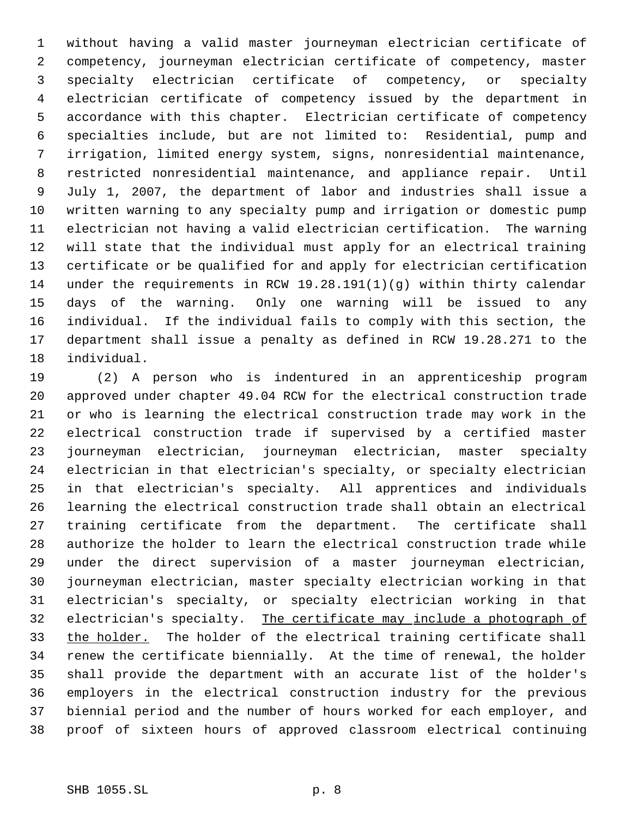without having a valid master journeyman electrician certificate of competency, journeyman electrician certificate of competency, master specialty electrician certificate of competency, or specialty electrician certificate of competency issued by the department in accordance with this chapter. Electrician certificate of competency specialties include, but are not limited to: Residential, pump and irrigation, limited energy system, signs, nonresidential maintenance, restricted nonresidential maintenance, and appliance repair. Until July 1, 2007, the department of labor and industries shall issue a written warning to any specialty pump and irrigation or domestic pump electrician not having a valid electrician certification. The warning will state that the individual must apply for an electrical training certificate or be qualified for and apply for electrician certification under the requirements in RCW 19.28.191(1)(g) within thirty calendar days of the warning. Only one warning will be issued to any individual. If the individual fails to comply with this section, the department shall issue a penalty as defined in RCW 19.28.271 to the individual.

 (2) A person who is indentured in an apprenticeship program approved under chapter 49.04 RCW for the electrical construction trade or who is learning the electrical construction trade may work in the electrical construction trade if supervised by a certified master journeyman electrician, journeyman electrician, master specialty electrician in that electrician's specialty, or specialty electrician in that electrician's specialty. All apprentices and individuals learning the electrical construction trade shall obtain an electrical training certificate from the department. The certificate shall authorize the holder to learn the electrical construction trade while under the direct supervision of a master journeyman electrician, journeyman electrician, master specialty electrician working in that electrician's specialty, or specialty electrician working in that 32 electrician's specialty. The certificate may include a photograph of 33 the holder. The holder of the electrical training certificate shall renew the certificate biennially. At the time of renewal, the holder shall provide the department with an accurate list of the holder's employers in the electrical construction industry for the previous biennial period and the number of hours worked for each employer, and proof of sixteen hours of approved classroom electrical continuing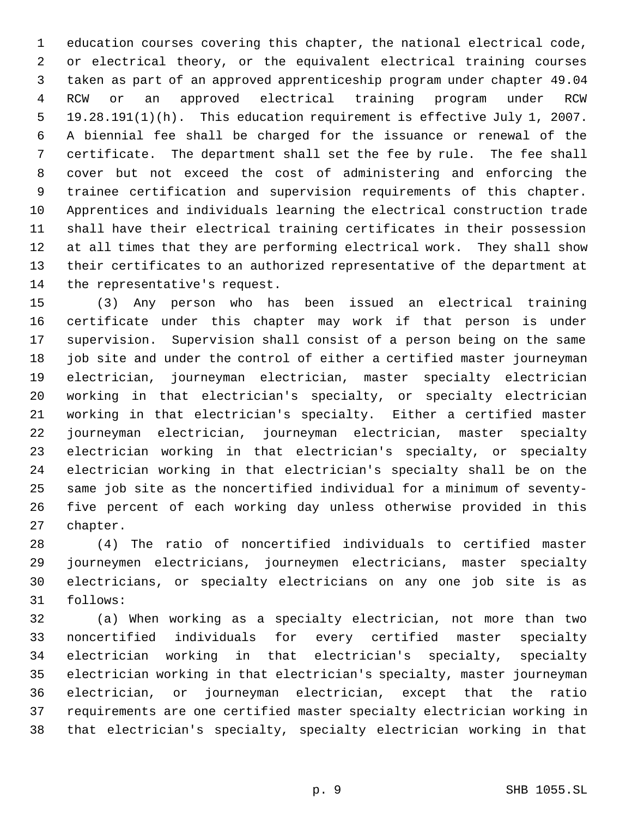education courses covering this chapter, the national electrical code, or electrical theory, or the equivalent electrical training courses taken as part of an approved apprenticeship program under chapter 49.04 RCW or an approved electrical training program under RCW 19.28.191(1)(h). This education requirement is effective July 1, 2007. A biennial fee shall be charged for the issuance or renewal of the certificate. The department shall set the fee by rule. The fee shall cover but not exceed the cost of administering and enforcing the trainee certification and supervision requirements of this chapter. Apprentices and individuals learning the electrical construction trade shall have their electrical training certificates in their possession at all times that they are performing electrical work. They shall show their certificates to an authorized representative of the department at the representative's request.

 (3) Any person who has been issued an electrical training certificate under this chapter may work if that person is under supervision. Supervision shall consist of a person being on the same job site and under the control of either a certified master journeyman electrician, journeyman electrician, master specialty electrician working in that electrician's specialty, or specialty electrician working in that electrician's specialty. Either a certified master journeyman electrician, journeyman electrician, master specialty electrician working in that electrician's specialty, or specialty electrician working in that electrician's specialty shall be on the same job site as the noncertified individual for a minimum of seventy- five percent of each working day unless otherwise provided in this chapter.

 (4) The ratio of noncertified individuals to certified master journeymen electricians, journeymen electricians, master specialty electricians, or specialty electricians on any one job site is as follows:

 (a) When working as a specialty electrician, not more than two noncertified individuals for every certified master specialty electrician working in that electrician's specialty, specialty electrician working in that electrician's specialty, master journeyman electrician, or journeyman electrician, except that the ratio requirements are one certified master specialty electrician working in that electrician's specialty, specialty electrician working in that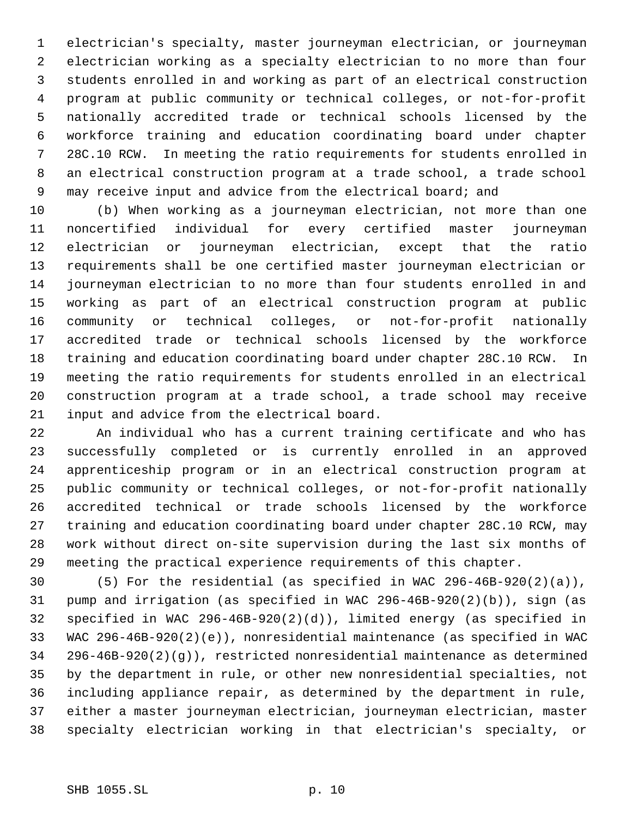electrician's specialty, master journeyman electrician, or journeyman electrician working as a specialty electrician to no more than four students enrolled in and working as part of an electrical construction program at public community or technical colleges, or not-for-profit nationally accredited trade or technical schools licensed by the workforce training and education coordinating board under chapter 28C.10 RCW. In meeting the ratio requirements for students enrolled in an electrical construction program at a trade school, a trade school 9 may receive input and advice from the electrical board; and

 (b) When working as a journeyman electrician, not more than one noncertified individual for every certified master journeyman electrician or journeyman electrician, except that the ratio requirements shall be one certified master journeyman electrician or journeyman electrician to no more than four students enrolled in and working as part of an electrical construction program at public community or technical colleges, or not-for-profit nationally accredited trade or technical schools licensed by the workforce training and education coordinating board under chapter 28C.10 RCW. In meeting the ratio requirements for students enrolled in an electrical construction program at a trade school, a trade school may receive input and advice from the electrical board.

 An individual who has a current training certificate and who has successfully completed or is currently enrolled in an approved apprenticeship program or in an electrical construction program at public community or technical colleges, or not-for-profit nationally accredited technical or trade schools licensed by the workforce training and education coordinating board under chapter 28C.10 RCW, may work without direct on-site supervision during the last six months of meeting the practical experience requirements of this chapter.

 (5) For the residential (as specified in WAC 296-46B-920(2)(a)), pump and irrigation (as specified in WAC 296-46B-920(2)(b)), sign (as specified in WAC 296-46B-920(2)(d)), limited energy (as specified in WAC 296-46B-920(2)(e)), nonresidential maintenance (as specified in WAC 296-46B-920(2)(g)), restricted nonresidential maintenance as determined by the department in rule, or other new nonresidential specialties, not including appliance repair, as determined by the department in rule, either a master journeyman electrician, journeyman electrician, master specialty electrician working in that electrician's specialty, or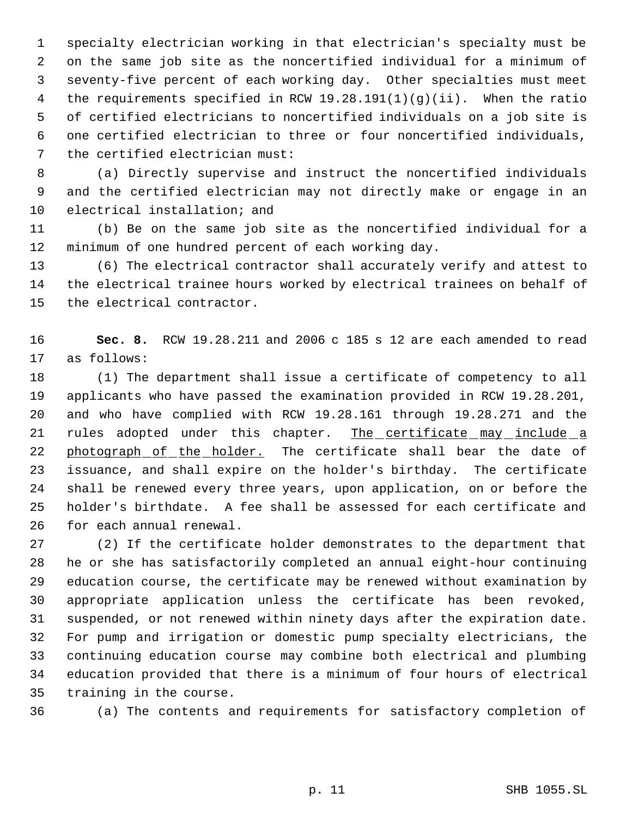specialty electrician working in that electrician's specialty must be on the same job site as the noncertified individual for a minimum of seventy-five percent of each working day. Other specialties must meet the requirements specified in RCW 19.28.191(1)(g)(ii). When the ratio of certified electricians to noncertified individuals on a job site is one certified electrician to three or four noncertified individuals, the certified electrician must:

 (a) Directly supervise and instruct the noncertified individuals and the certified electrician may not directly make or engage in an electrical installation; and

 (b) Be on the same job site as the noncertified individual for a minimum of one hundred percent of each working day.

 (6) The electrical contractor shall accurately verify and attest to the electrical trainee hours worked by electrical trainees on behalf of the electrical contractor.

 **Sec. 8.** RCW 19.28.211 and 2006 c 185 s 12 are each amended to read as follows:

 (1) The department shall issue a certificate of competency to all applicants who have passed the examination provided in RCW 19.28.201, and who have complied with RCW 19.28.161 through 19.28.271 and the 21 rules adopted under this chapter. The certificate may include a 22 photograph of the holder. The certificate shall bear the date of issuance, and shall expire on the holder's birthday. The certificate shall be renewed every three years, upon application, on or before the holder's birthdate. A fee shall be assessed for each certificate and for each annual renewal.

 (2) If the certificate holder demonstrates to the department that he or she has satisfactorily completed an annual eight-hour continuing education course, the certificate may be renewed without examination by appropriate application unless the certificate has been revoked, suspended, or not renewed within ninety days after the expiration date. For pump and irrigation or domestic pump specialty electricians, the continuing education course may combine both electrical and plumbing education provided that there is a minimum of four hours of electrical training in the course.

(a) The contents and requirements for satisfactory completion of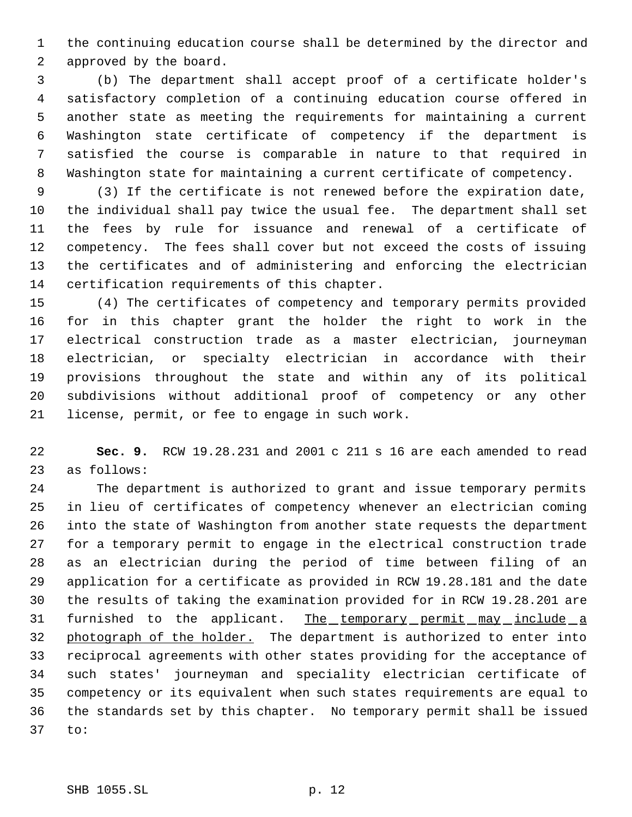the continuing education course shall be determined by the director and approved by the board.

 (b) The department shall accept proof of a certificate holder's satisfactory completion of a continuing education course offered in another state as meeting the requirements for maintaining a current Washington state certificate of competency if the department is satisfied the course is comparable in nature to that required in Washington state for maintaining a current certificate of competency.

 (3) If the certificate is not renewed before the expiration date, the individual shall pay twice the usual fee. The department shall set the fees by rule for issuance and renewal of a certificate of competency. The fees shall cover but not exceed the costs of issuing the certificates and of administering and enforcing the electrician certification requirements of this chapter.

 (4) The certificates of competency and temporary permits provided for in this chapter grant the holder the right to work in the electrical construction trade as a master electrician, journeyman electrician, or specialty electrician in accordance with their provisions throughout the state and within any of its political subdivisions without additional proof of competency or any other license, permit, or fee to engage in such work.

 **Sec. 9.** RCW 19.28.231 and 2001 c 211 s 16 are each amended to read as follows:

 The department is authorized to grant and issue temporary permits in lieu of certificates of competency whenever an electrician coming into the state of Washington from another state requests the department for a temporary permit to engage in the electrical construction trade as an electrician during the period of time between filing of an application for a certificate as provided in RCW 19.28.181 and the date the results of taking the examination provided for in RCW 19.28.201 are 31 furnished to the applicant. The temporary permit may include a 32 photograph of the holder. The department is authorized to enter into reciprocal agreements with other states providing for the acceptance of such states' journeyman and speciality electrician certificate of competency or its equivalent when such states requirements are equal to the standards set by this chapter. No temporary permit shall be issued to: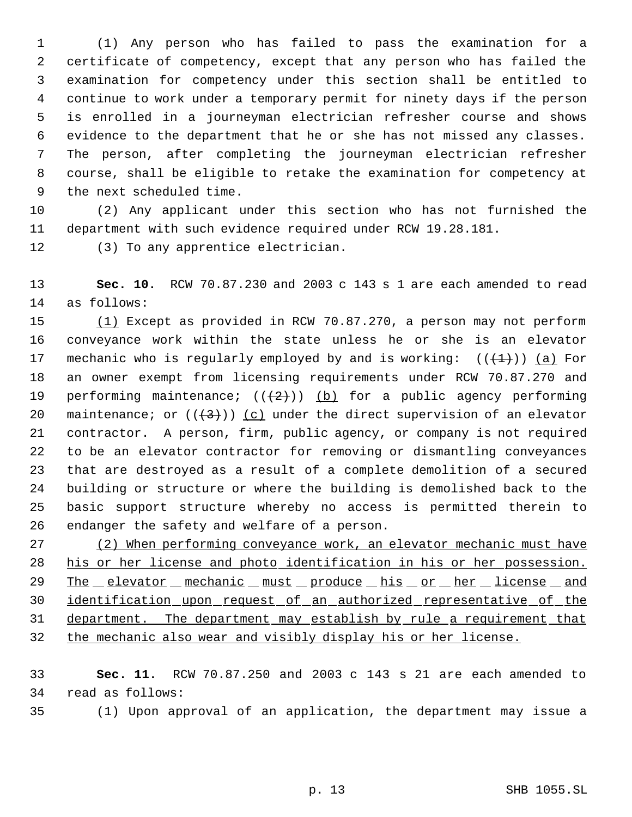(1) Any person who has failed to pass the examination for a certificate of competency, except that any person who has failed the examination for competency under this section shall be entitled to continue to work under a temporary permit for ninety days if the person is enrolled in a journeyman electrician refresher course and shows evidence to the department that he or she has not missed any classes. The person, after completing the journeyman electrician refresher course, shall be eligible to retake the examination for competency at the next scheduled time.

 (2) Any applicant under this section who has not furnished the department with such evidence required under RCW 19.28.181.

(3) To any apprentice electrician.

 **Sec. 10.** RCW 70.87.230 and 2003 c 143 s 1 are each amended to read as follows:

 (1) Except as provided in RCW 70.87.270, a person may not perform conveyance work within the state unless he or she is an elevator 17 mechanic who is regularly employed by and is working:  $((+1))$  (a) For an owner exempt from licensing requirements under RCW 70.87.270 and 19 performing maintenance;  $((+2))$  (b) for a public agency performing 20 maintenance; or  $((+3))$  (c) under the direct supervision of an elevator contractor. A person, firm, public agency, or company is not required to be an elevator contractor for removing or dismantling conveyances that are destroyed as a result of a complete demolition of a secured building or structure or where the building is demolished back to the basic support structure whereby no access is permitted therein to endanger the safety and welfare of a person.

27 (2) When performing conveyance work, an elevator mechanic must have his or her license and photo identification in his or her possession. 29 The elevator mechanic must produce his or her license and 30 identification upon request of an authorized representative of the 31 department. The department may establish by rule a requirement that the mechanic also wear and visibly display his or her license.

 **Sec. 11.** RCW 70.87.250 and 2003 c 143 s 21 are each amended to read as follows:

(1) Upon approval of an application, the department may issue a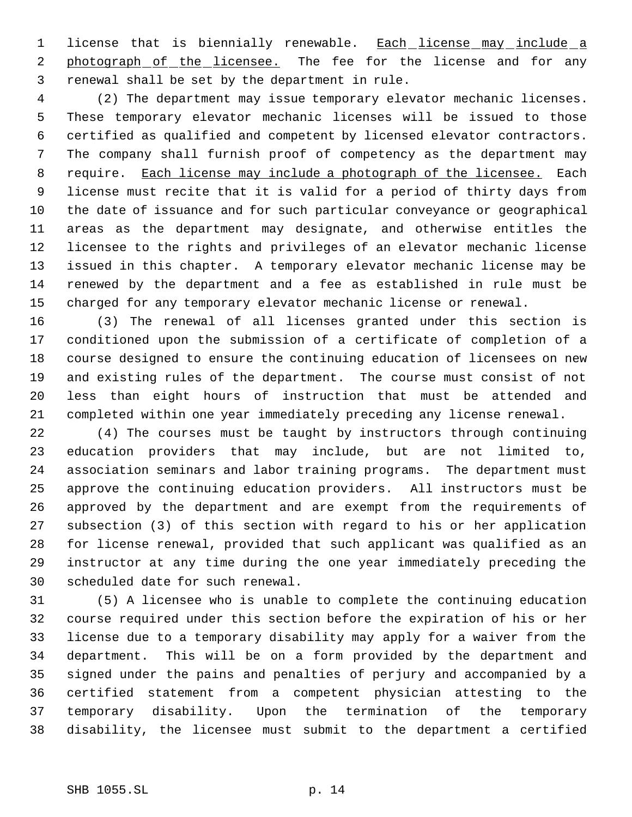1 license that is biennially renewable. Each license may include a 2 photograph of the licensee. The fee for the license and for any renewal shall be set by the department in rule.

 (2) The department may issue temporary elevator mechanic licenses. These temporary elevator mechanic licenses will be issued to those certified as qualified and competent by licensed elevator contractors. The company shall furnish proof of competency as the department may require. Each license may include a photograph of the licensee. Each license must recite that it is valid for a period of thirty days from the date of issuance and for such particular conveyance or geographical areas as the department may designate, and otherwise entitles the licensee to the rights and privileges of an elevator mechanic license issued in this chapter. A temporary elevator mechanic license may be renewed by the department and a fee as established in rule must be charged for any temporary elevator mechanic license or renewal.

 (3) The renewal of all licenses granted under this section is conditioned upon the submission of a certificate of completion of a course designed to ensure the continuing education of licensees on new and existing rules of the department. The course must consist of not less than eight hours of instruction that must be attended and completed within one year immediately preceding any license renewal.

 (4) The courses must be taught by instructors through continuing education providers that may include, but are not limited to, association seminars and labor training programs. The department must approve the continuing education providers. All instructors must be approved by the department and are exempt from the requirements of subsection (3) of this section with regard to his or her application for license renewal, provided that such applicant was qualified as an instructor at any time during the one year immediately preceding the scheduled date for such renewal.

 (5) A licensee who is unable to complete the continuing education course required under this section before the expiration of his or her license due to a temporary disability may apply for a waiver from the department. This will be on a form provided by the department and signed under the pains and penalties of perjury and accompanied by a certified statement from a competent physician attesting to the temporary disability. Upon the termination of the temporary disability, the licensee must submit to the department a certified